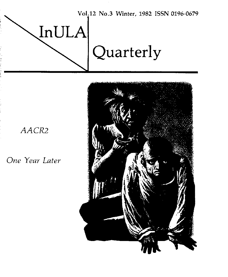

## AACR2

*One Year Later* 

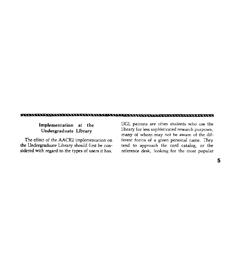## 

**Implementation at the UGL** patrons are often students who use the **Undergraduate Library** library for less sophisticated research purposes. many of whom may not be aware of the dif-The effect of the AACR2 implementation on ferent forms of a given personal name. They the Undergraduate Library should first be conthe Undergraduate Library should first be con-<br>sidered with regard to the types of users it has, reference desk, looking for the most popular reference desk, looking for the most popular.